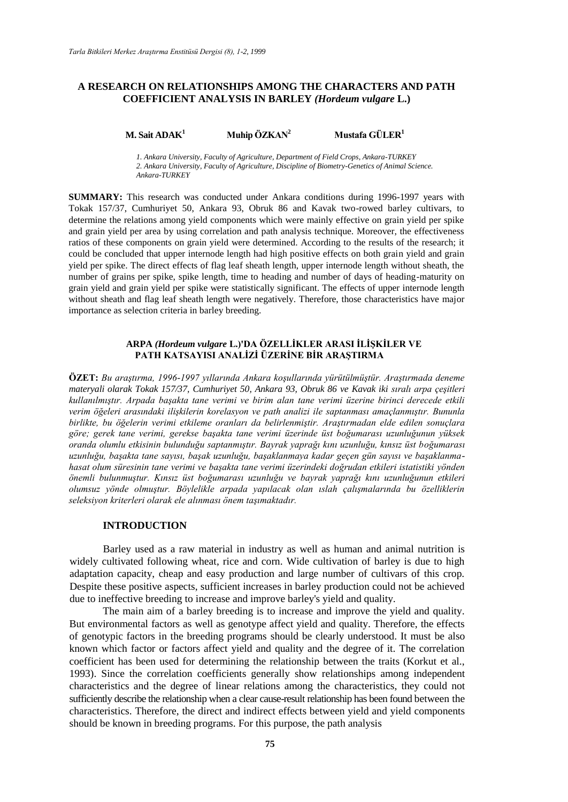# **A RESEARCH ON RELATIONSHIPS AMONG THE CHARACTERS AND PATH COEFFICIENT ANALYSIS IN BARLEY** *(Hordeum vulgare* **L.)**

### **M. Sait ADAK<sup>1</sup> <b>Muhip ÖZKAN**<sup>2</sup> **Mustafa GÜLER**<sup>1</sup>

*1. Ankara University, Faculty of Agriculture, Department of Field Crops, Ankara-TURKEY 2. Ankara University, Faculty of Agriculture, Discipline of Biometry-Genetics of Animal Science. Ankara-TURKEY*

**SUMMARY:** This research was conducted under Ankara conditions during 1996-1997 years with Tokak 157/37, Cumhuriyet 50, Ankara 93, Obruk 86 and Kavak two-rowed barley cultivars, to determine the relations among yield components which were mainly effective on grain yield per spike and grain yield per area by using correlation and path analysis technique. Moreover, the effectiveness ratios of these components on grain yield were determined. According to the results of the research; it could be concluded that upper internode length had high positive effects on both grain yield and grain yield per spike. The direct effects of flag leaf sheath length, upper internode length without sheath, the number of grains per spike, spike length, time to heading and number of days of heading-maturity on grain yield and grain yield per spike were statistically significant. The effects of upper internode length without sheath and flag leaf sheath length were negatively. Therefore, those characteristics have major importance as selection criteria in barley breeding.

# **ARPA** *(Hordeum vulgare* **L.)'DA ÖZELLİKLER ARASI İLİŞKİLER VE PATH KATSAYISI ANALİZİ ÜZERİNE BİR ARAŞTIRMA**

**ÖZET:** *Bu araştırma, 1996-1997 yıllarında Ankara koşullarında yürütülmüştür. Araştırmada deneme materyali olarak Tokak 157/37, Cumhuriyet 50, Ankara 93, Obruk 86 ve Kavak iki sıralı arpa çeşitleri kullanılmıştır. Arpada başakta tane verimi ve birim alan tane verimi üzerine birinci derecede etkili verim öğeleri arasındaki ilişkilerin korelasyon ve path analizi ile saptanması amaçlanmıştır. Bununla birlikte, bu öğelerin verimi etkileme oranları da belirlenmiştir. Araştırmadan elde edilen sonuçlara göre; gerek tane verimi, gerekse başakta tane verimi üzerinde üst boğumarası uzunluğunun yüksek oranda olumlu etkisinin bulunduğu saptanmıştır. Bayrak yaprağı kını uzunluğu, kınsız üst boğumarası uzunluğu, başakta tane sayısı, başak uzunluğu, başaklanmaya kadar geçen gün sayısı ve başaklanmahasat olum süresinin tane verimi ve başakta tane verimi üzerindeki doğrudan etkileri istatistiki yönden önemli bulunmuştur. Kınsız üst boğumarası uzunluğu ve bayrak yaprağı kını uzunluğunun etkileri olumsuz yönde olmuştur. Böylelikle arpada yapılacak olan ıslah çalışmalarında bu özelliklerin seleksiyon kriterleri olarak ele alınması önem taşımaktadır.*

### **INTRODUCTION**

Barley used as a raw material in industry as well as human and animal nutrition is widely cultivated following wheat, rice and corn. Wide cultivation of barley is due to high adaptation capacity, cheap and easy production and large number of cultivars of this crop. Despite these positive aspects, sufficient increases in barley production could not be achieved due to ineffective breeding to increase and improve barley's yield and quality.

The main aim of a barley breeding is to increase and improve the yield and quality. But environmental factors as well as genotype affect yield and quality. Therefore, the effects of genotypic factors in the breeding programs should be clearly understood. It must be also known which factor or factors affect yield and quality and the degree of it. The correlation coefficient has been used for determining the relationship between the traits (Korkut et al., 1993). Since the correlation coefficients generally show relationships among independent characteristics and the degree of linear relations among the characteristics, they could not sufficiently describe the relationship when a clear cause-result relationship has been found between the characteristics. Therefore, the direct and indirect effects between yield and yield components should be known in breeding programs. For this purpose, the path analysis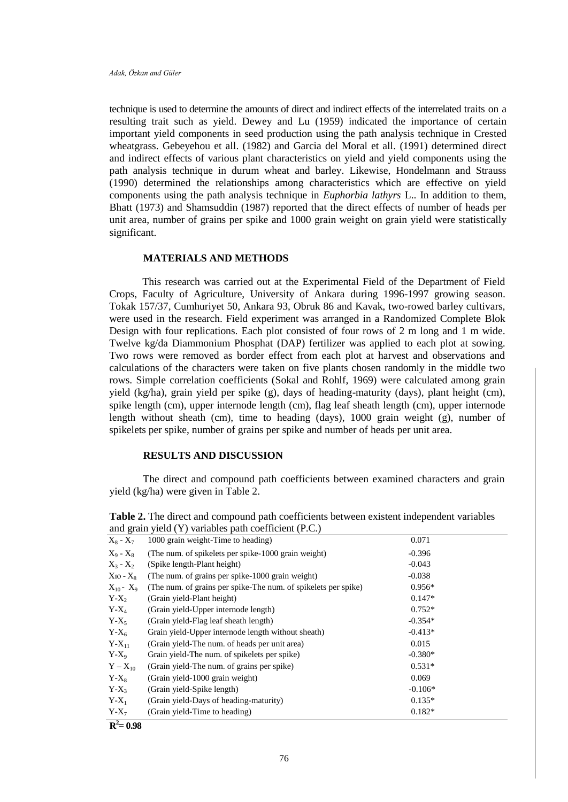technique is used to determine the amounts of direct and indirect effects of the interrelated traits on a resulting trait such as yield. Dewey and Lu (1959) indicated the importance of certain important yield components in seed production using the path analysis technique in Crested wheatgrass. Gebeyehou et all. (1982) and Garcia del Moral et all. (1991) determined direct and indirect effects of various plant characteristics on yield and yield components using the path analysis technique in durum wheat and barley. Likewise, Hondelmann and Strauss (1990) determined the relationships among characteristics which are effective on yield components using the path analysis technique in *Euphorbia lathyrs* L.. In addition to them, Bhatt (1973) and Shamsuddin (1987) reported that the direct effects of number of heads per unit area, number of grains per spike and 1000 grain weight on grain yield were statistically significant.

# **MATERIALS AND METHODS**

This research was carried out at the Experimental Field of the Department of Field Crops, Faculty of Agriculture, University of Ankara during 1996-1997 growing season. Tokak 157/37, Cumhuriyet 50, Ankara 93, Obruk 86 and Kavak, two-rowed barley cultivars, were used in the research. Field experiment was arranged in a Randomized Complete Blok Design with four replications. Each plot consisted of four rows of 2 m long and 1 m wide. Twelve kg/da Diammonium Phosphat (DAP) fertilizer was applied to each plot at sowing. Two rows were removed as border effect from each plot at harvest and observations and calculations of the characters were taken on five plants chosen randomly in the middle two rows. Simple correlation coefficients (Sokal and Rohlf, 1969) were calculated among grain yield (kg/ha), grain yield per spike (g), days of heading-maturity (days), plant height (cm), spike length (cm), upper internode length (cm), flag leaf sheath length (cm), upper internode length without sheath (cm), time to heading (days), 1000 grain weight (g), number of spikelets per spike, number of grains per spike and number of heads per unit area.

### **RESULTS AND DISCUSSION**

The direct and compound path coefficients between examined characters and grain yield (kg/ha) were given in Table 2.

|                | and grain yield (1) variables path coefficient (P.C.)          |           |
|----------------|----------------------------------------------------------------|-----------|
| $X_8 - X_7$    | 1000 grain weight-Time to heading)                             | 0.071     |
| $X_9 - X_8$    | (The num. of spikelets per spike-1000 grain weight)            | $-0.396$  |
| $X_3 - X_2$    | (Spike length-Plant height)                                    | $-0.043$  |
| $X_{10} - X_8$ | (The num. of grains per spike-1000 grain weight)               | $-0.038$  |
| $X_{10} - X_9$ | (The num. of grains per spike-The num. of spikelets per spike) | $0.956*$  |
| $Y-X_2$        | (Grain yield-Plant height)                                     | $0.147*$  |
| $Y-X_4$        | (Grain yield-Upper internode length)                           | $0.752*$  |
| $Y-X_5$        | (Grain yield-Flag leaf sheath length)                          | $-0.354*$ |
| $Y-X_6$        | Grain yield-Upper internode length without sheath)             | $-0.413*$ |
| $Y-X_{11}$     | (Grain yield-The num. of heads per unit area)                  | 0.015     |
| $Y-X_9$        | Grain yield-The num. of spikelets per spike)                   | $-0.380*$ |
| $Y - X_{10}$   | (Grain yield-The num. of grains per spike)                     | $0.531*$  |
| $Y-X_8$        | (Grain yield-1000 grain weight)                                | 0.069     |
| $Y-X_3$        | (Grain yield-Spike length)                                     | $-0.106*$ |
| $Y-X_1$        | (Grain yield-Days of heading-maturity)                         | $0.135*$  |
| $Y-X_7$        | (Grain yield-Time to heading)                                  | $0.182*$  |
| $R^2 = 0.98$   |                                                                |           |

**Table 2.** The direct and compound path coefficients between existent independent variables and grain yield  $(Y)$  variables path coefficient (P.C.)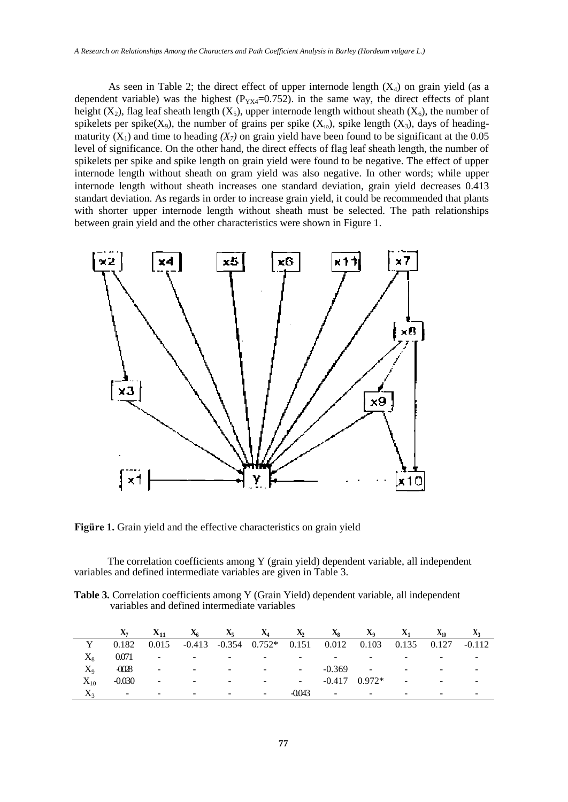As seen in Table 2; the direct effect of upper internode length  $(X_4)$  on grain yield (as a dependent variable) was the highest ( $P_{YX4}=0.752$ ). in the same way, the direct effects of plant height (X<sub>2</sub>), flag leaf sheath length (X<sub>5</sub>), upper internode length without sheath (X<sub>6</sub>), the number of spikelets per spike( $X_9$ ), the number of grains per spike ( $X_{10}$ ), spike length ( $X_3$ ), days of headingmaturity  $(X_1)$  and time to heading  $(X_7)$  on grain yield have been found to be significant at the 0.05 level of significance. On the other hand, the direct effects of flag leaf sheath length, the number of spikelets per spike and spike length on grain yield were found to be negative. The effect of upper internode length without sheath on gram yield was also negative. In other words; while upper internode length without sheath increases one standard deviation, grain yield decreases 0.413 standart deviation. As regards in order to increase grain yield, it could be recommended that plants with shorter upper internode length without sheath must be selected. The path relationships between grain yield and the other characteristics were shown in Figure 1.



**Figüre 1.** Grain yield and the effective characteristics on grain yield

The correlation coefficients among Y (grain yield) dependent variable, all independent variables and defined intermediate variables are given in Table 3.

Table 3. Correlation coefficients among Y (Grain Yield) dependent variable, all independent variables and defined intermediate variables

|           | $X_7$    | $X_{11}$                 | $X_6$                    | $X_5$                    | $X_4$                      | $\mathbf{X}_2$           | $X_8$                    | $\mathbf{X}_9$    | $X_1$                    | $X_{10}$                 | $\mathbf{A}_3$ |
|-----------|----------|--------------------------|--------------------------|--------------------------|----------------------------|--------------------------|--------------------------|-------------------|--------------------------|--------------------------|----------------|
|           | 0.182    | 0.015                    |                          |                          | $-0.413$ $-0.354$ $0.752*$ | 0.151                    | 0.012                    | 0.103             | 0.135 0.127              |                          | $-0.112$       |
| $\rm X_8$ | 0.071    | ۰.                       | $\overline{\phantom{0}}$ | $\overline{\phantom{0}}$ | -                          | -                        | $\overline{\phantom{0}}$ | ۰                 | $\overline{\phantom{a}}$ |                          |                |
| $\rm X_o$ | $-0028$  | $\blacksquare$           | $\overline{\phantom{a}}$ | $\sim$                   | $\sim$                     | $\sim$                   | $-0.369$                 | $\sim$            | $\sim$                   | $\overline{\phantom{a}}$ |                |
| $X_{10}$  | $-0.030$ | $\sim$                   | -                        | ٠                        | $\sim$                     | $\overline{\phantom{a}}$ |                          | $-0.417$ $0.972*$ | $\sim$                   | $\overline{\phantom{a}}$ |                |
|           | -        | $\overline{\phantom{0}}$ | $\overline{\phantom{a}}$ | $\overline{\phantom{0}}$ | ۰.                         | -0.043                   | $\overline{\phantom{a}}$ | $\sim$            | $\overline{\phantom{0}}$ | $\overline{\phantom{a}}$ |                |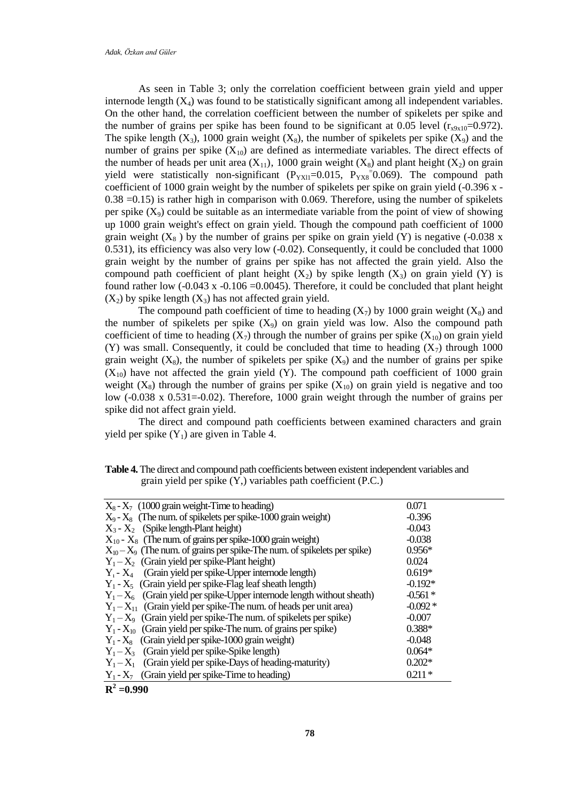As seen in Table 3; only the correlation coefficient between grain yield and upper internode length  $(X_4)$  was found to be statistically significant among all independent variables. On the other hand, the correlation coefficient between the number of spikelets per spike and the number of grains per spike has been found to be significant at 0.05 level  $(r_{x9x10} = 0.972)$ . The spike length  $(X_3)$ , 1000 grain weight  $(X_8)$ , the number of spikelets per spike  $(X_9)$  and the number of grains per spike  $(X_{10})$  are defined as intermediate variables. The direct effects of the number of heads per unit area  $(X_{11})$ , 1000 grain weight  $(X_8)$  and plant height  $(X_2)$  on grain yield were statistically non-significant  $(P_{YX11}=0.015, P_{YX8}=0.069)$ . The compound path coefficient of 1000 grain weight by the number of spikelets per spike on grain yield (-0.396 x -  $0.38 = 0.15$ ) is rather high in comparison with 0.069. Therefore, using the number of spikelets per spike  $(X_9)$  could be suitable as an intermediate variable from the point of view of showing up 1000 grain weight's effect on grain yield. Though the compound path coefficient of 1000 grain weight  $(X_8)$  by the number of grains per spike on grain yield  $(Y)$  is negative (-0.038 x 0.531), its efficiency was also very low (-0.02). Consequently, it could be concluded that 1000 grain weight by the number of grains per spike has not affected the grain yield. Also the compound path coefficient of plant height  $(X_2)$  by spike length  $(X_3)$  on grain yield (Y) is found rather low  $(-0.043 \times -0.106 = 0.0045)$ . Therefore, it could be concluded that plant height  $(X_2)$  by spike length  $(X_3)$  has not affected grain yield.

The compound path coefficient of time to heading  $(X_7)$  by 1000 grain weight  $(X_8)$  and the number of spikelets per spike  $(X_9)$  on grain yield was low. Also the compound path coefficient of time to heading  $(X_7)$  through the number of grains per spike  $(X_{10})$  on grain yield (Y) was small. Consequently, it could be concluded that time to heading  $(X_7)$  through 1000 grain weight  $(X_8)$ , the number of spikelets per spike  $(X_9)$  and the number of grains per spike  $(X_{10})$  have not affected the grain yield (Y). The compound path coefficient of 1000 grain weight  $(X_8)$  through the number of grains per spike  $(X_{10})$  on grain yield is negative and too low  $(-0.038 \times 0.531=-0.02)$ . Therefore, 1000 grain weight through the number of grains per spike did not affect grain yield.

The direct and compound path coefficients between examined characters and grain yield per spike  $(Y_1)$  are given in Table 4.

| <b>Table 4.</b> The direct and compound path coefficients between existent independent variables and |  |  |
|------------------------------------------------------------------------------------------------------|--|--|
| grain yield per spike $(Y)$ , variables path coefficient $(P.C.)$                                    |  |  |

| $X_8 - X_7$ (1000 grain weight-Time to heading)                             | 0.071     |
|-----------------------------------------------------------------------------|-----------|
| $X_9 - X_8$ (The num. of spikelets per spike-1000 grain weight)             | $-0.396$  |
| $X_3 - X_2$ (Spike length-Plant height)                                     | $-0.043$  |
| $X_{10}$ - $X_8$ (The num. of grains per spike-1000 grain weight)           | $-0.038$  |
| $X_{10}-X_9$ (The num. of grains per spike-The num. of spikelets per spike) | $0.956*$  |
| $Y_1 - X_2$ (Grain yield per spike-Plant height)                            | 0.024     |
| $Y_1$ - $X_4$ (Grain yield per spike-Upper internode length)                | $0.619*$  |
| $Y_1 - X_5$ (Grain yield per spike-Flag leaf sheath length)                 | $-0.192*$ |
| $Y_1 - X_6$ (Grain yield per spike-Upper internode length without sheath)   | $-0.561*$ |
| $Y_1 - X_{11}$ (Grain yield per spike-The num. of heads per unit area)      | $-0.092*$ |
| $Y_1 - X_9$ (Grain yield per spike-The num. of spikelets per spike)         | $-0.007$  |
| $Y_1 - X_{10}$ (Grain yield per spike-The num. of grains per spike)         | $0.388*$  |
| $Y_1 - X_8$ (Grain yield per spike-1000 grain weight)                       | $-0.048$  |
| $Y_1 - X_3$ (Grain yield per spike-Spike length)                            | $0.064*$  |
| $Y_1 - X_1$ (Grain yield per spike-Days of heading-maturity)                | $0.202*$  |
| $Y_1 - X_7$ (Grain yield per spike-Time to heading)                         | $0.211*$  |
| $R^2 = 0.990$                                                               |           |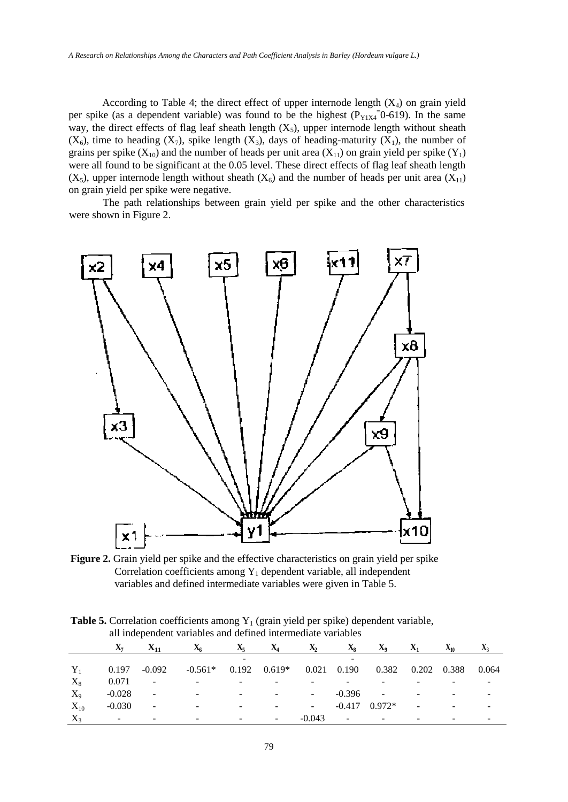According to Table 4; the direct effect of upper internode length  $(X_4)$  on grain yield per spike (as a dependent variable) was found to be the highest  $(P_{Y1X4} = 0.619)$ . In the same way, the direct effects of flag leaf sheath length  $(X_5)$ , upper internode length without sheath  $(X_6)$ , time to heading  $(X_7)$ , spike length  $(X_3)$ , days of heading-maturity  $(X_1)$ , the number of grains per spike  $(X_{10})$  and the number of heads per unit area  $(X_{11})$  on grain yield per spike  $(Y_1)$ were all found to be significant at the 0.05 level. These direct effects of flag leaf sheath length  $(X_5)$ , upper internode length without sheath  $(X_6)$  and the number of heads per unit area  $(X_{11})$ on grain yield per spike were negative.

The path relationships between grain yield per spike and the other characteristics were shown in Figure 2.

![](_page_4_Figure_3.jpeg)

**Figure 2.** Grain yield per spike and the effective characteristics on grain yield per spike Correlation coefficients among Y<sub>1</sub> dependent variable, all independent variables and defined intermediate variables were given in Table 5.

|          | an maepenaem variables and dermed micrinediate variables |                          |           |       |                          |              |               |                |       |          |              |
|----------|----------------------------------------------------------|--------------------------|-----------|-------|--------------------------|--------------|---------------|----------------|-------|----------|--------------|
|          | $\mathbf{A}$ 7                                           | $X_{11}$                 | Δ6        | $X_5$ | $\mathbf{A}_4$           | $\mathbf{A}$ | $X_8$         | $\mathbf{X}_9$ | $X_1$ | $X_{10}$ | $\mathbf{A}$ |
|          |                                                          |                          |           |       |                          |              |               |                |       |          |              |
| $Y_1$    | 0.197                                                    | $-0.092$                 | $-0.561*$ | 0.192 | $0.619*$                 |              | $0.021$ 0.190 | 0.382          | 0.202 | 0.388    | 0.064        |
| $X_8$    | 0.071                                                    | $\overline{\phantom{a}}$ |           |       |                          |              |               |                |       |          |              |
| $X_9$    | $-0.028$                                                 | $\overline{\phantom{a}}$ |           | -     |                          |              | $-0.396$      | -              |       | ۰        |              |
| $X_{10}$ | $-0.030$                                                 | $\overline{\phantom{0}}$ |           | -     |                          |              | $-0.417$      | $0.972*$       | ۰     |          |              |
| $X_3$    | -                                                        |                          |           | -     | $\overline{\phantom{a}}$ | $-0.043$     | -             |                |       |          |              |

**Table 5.** Correlation coefficients among  $Y_1$  (grain yield per spike) dependent variable, all independent variables and defined intermediate variables

79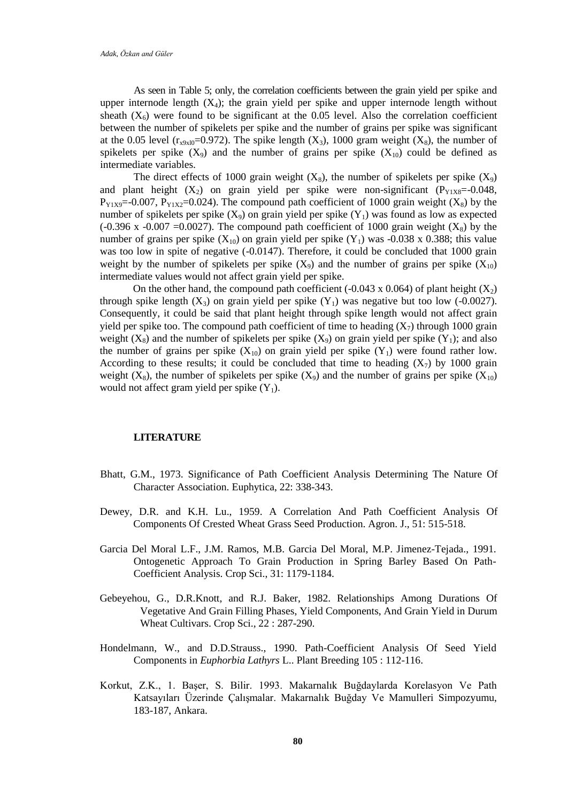As seen in Table 5; only, the correlation coefficients between the grain yield per spike and upper internode length  $(X_4)$ ; the grain yield per spike and upper internode length without sheath  $(X_6)$  were found to be significant at the 0.05 level. Also the correlation coefficient between the number of spikelets per spike and the number of grains per spike was significant at the 0.05 level ( $r_{x9x10}$ =0.972). The spike length (X<sub>3</sub>), 1000 gram weight (X<sub>8</sub>), the number of spikelets per spike  $(X_9)$  and the number of grains per spike  $(X_{10})$  could be defined as intermediate variables.

The direct effects of 1000 grain weight  $(X_8)$ , the number of spikelets per spike  $(X_9)$ and plant height  $(X_2)$  on grain yield per spike were non-significant  $(P_{Y1}X8=0.048,$  $P_{Y1X9}$ =-0.007,  $P_{Y1X2}$ =0.024). The compound path coefficient of 1000 grain weight (X<sub>8</sub>) by the number of spikelets per spike  $(X_9)$  on grain yield per spike  $(Y_1)$  was found as low as expected (-0.396 x -0.007 =0.0027). The compound path coefficient of 1000 grain weight  $(X_8)$  by the number of grains per spike  $(X_{10})$  on grain yield per spike  $(Y_1)$  was -0.038 x 0.388; this value was too low in spite of negative (-0.0147). Therefore, it could be concluded that 1000 grain weight by the number of spikelets per spike  $(X_9)$  and the number of grains per spike  $(X_{10})$ intermediate values would not affect grain yield per spike.

On the other hand, the compound path coefficient (-0.043 x 0.064) of plant height  $(X_2)$ through spike length  $(X_3)$  on grain yield per spike  $(Y_1)$  was negative but too low (-0.0027). Consequently, it could be said that plant height through spike length would not affect grain yield per spike too. The compound path coefficient of time to heading  $(X_7)$  through 1000 grain weight  $(X_8)$  and the number of spikelets per spike  $(X_9)$  on grain yield per spike  $(Y_1)$ ; and also the number of grains per spike  $(X_{10})$  on grain yield per spike  $(Y_1)$  were found rather low. According to these results; it could be concluded that time to heading  $(X_7)$  by 1000 grain weight  $(X_8)$ , the number of spikelets per spike  $(X_9)$  and the number of grains per spike  $(X_{10})$ would not affect gram yield per spike  $(Y_1)$ .

#### **LITERATURE**

- Bhatt, G.M., 1973. Significance of Path Coefficient Analysis Determining The Nature Of Character Association. Euphytica, 22: 338-343.
- Dewey, D.R. and K.H. Lu., 1959. A Correlation And Path Coefficient Analysis Of Components Of Crested Wheat Grass Seed Production. Agron. J., 51: 515-518.
- Garcia Del Moral L.F., J.M. Ramos, M.B. Garcia Del Moral, M.P. Jimenez-Tejada., 1991. Ontogenetic Approach To Grain Production in Spring Barley Based On Path-Coefficient Analysis. Crop Sci., 31: 1179-1184.
- Gebeyehou, G., D.R.Knott, and R.J. Baker, 1982. Relationships Among Durations Of Vegetative And Grain Filling Phases, Yield Components, And Grain Yield in Durum Wheat Cultivars. Crop Sci., 22 : 287-290.
- Hondelmann, W., and D.D.Strauss., 1990. Path-Coefficient Analysis Of Seed Yield Components in *Euphorbia Lathyrs* L.. Plant Breeding 105 : 112-116.
- Korkut, Z.K., 1. Başer, S. Bilir. 1993. Makarnalık Buğdaylarda Korelasyon Ve Path Katsayıları Üzerinde Çalışmalar. Makarnalık Buğday Ve Mamulleri Simpozyumu, 183-187, Ankara.